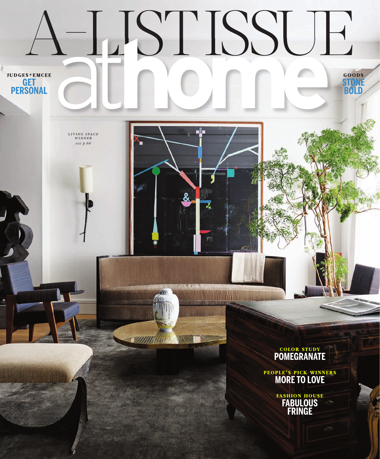

**COLOR STUDY POMEGRANATE**

PEOPLE'S PICK WINNERS **MORE TO LOVE**

> FASHION HOUSE **FABULOUS FRINGE**